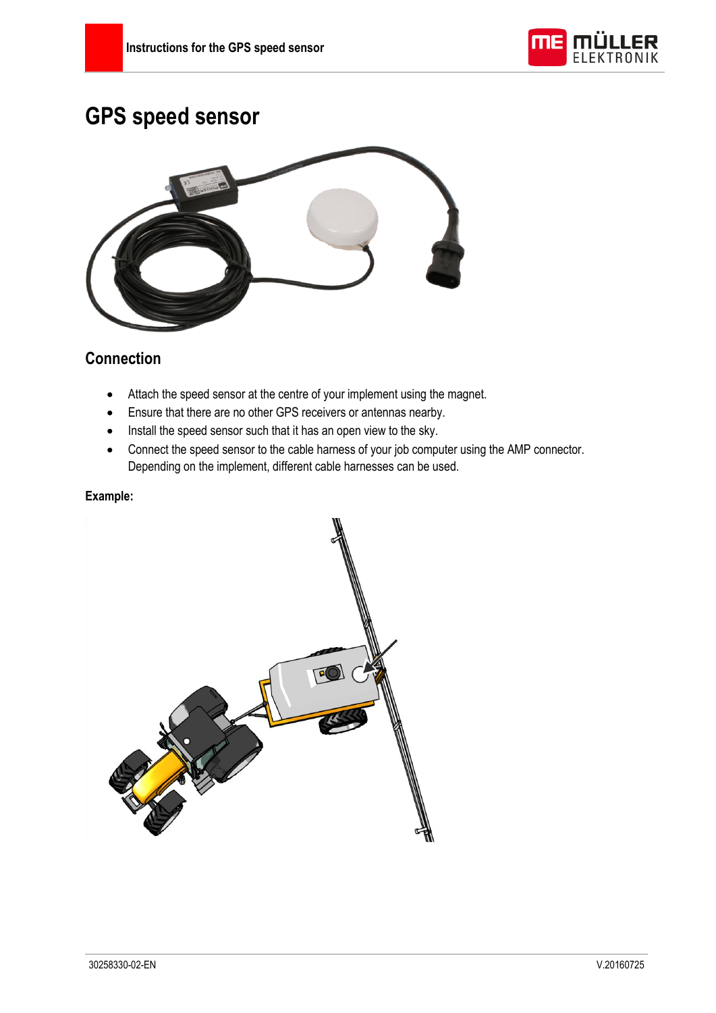

# **GPS speed sensor**



#### **Connection**

- Attach the speed sensor at the centre of your implement using the magnet.
- Ensure that there are no other GPS receivers or antennas nearby.
- Install the speed sensor such that it has an open view to the sky.
- Connect the speed sensor to the cable harness of your job computer using the AMP connector. Depending on the implement, different cable harnesses can be used.

#### **Example:**